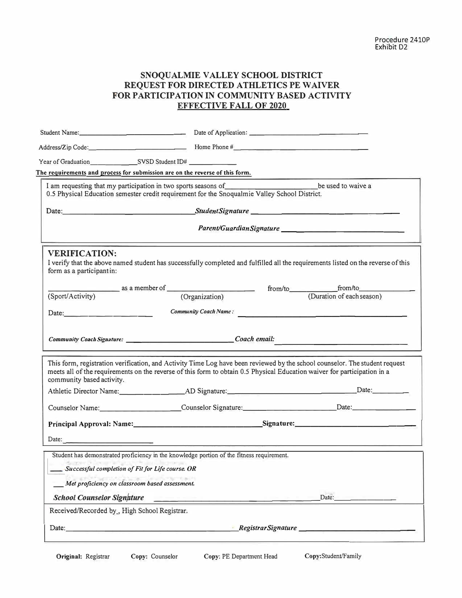## **SNOQUALMIE VALLEY SCHOOL DISTRICT REQUEST FOR DIRECTED ATHLETICS PE WAIVER FOR PARTICIPATION IN COMMUNITY BASED ACTIVITY EFFECTIVE FALL OF 2020**

| Year of Graduation SVSD Student ID#                                                 |                                                                                                                                                                                                    |                                                                                                                                                                                                                                                         |
|-------------------------------------------------------------------------------------|----------------------------------------------------------------------------------------------------------------------------------------------------------------------------------------------------|---------------------------------------------------------------------------------------------------------------------------------------------------------------------------------------------------------------------------------------------------------|
| The requirements and process for submission are on the reverse of this form.        |                                                                                                                                                                                                    |                                                                                                                                                                                                                                                         |
|                                                                                     | I am requesting that my participation in two sports seasons of <b>EXECUTE:</b> be used to waive a<br>0.5 Physical Education semester credit requirement for the Snoqualmie Valley School District. |                                                                                                                                                                                                                                                         |
|                                                                                     |                                                                                                                                                                                                    |                                                                                                                                                                                                                                                         |
|                                                                                     |                                                                                                                                                                                                    |                                                                                                                                                                                                                                                         |
| <b>VERIFICATION:</b><br>form as a participantin:                                    |                                                                                                                                                                                                    | I verify that the above named student has successfully completed and fulfilled all the requirements listed on the reverse of this                                                                                                                       |
|                                                                                     |                                                                                                                                                                                                    |                                                                                                                                                                                                                                                         |
| (Sport/Activity)                                                                    | (Organization)                                                                                                                                                                                     | (Duration of each season)                                                                                                                                                                                                                               |
|                                                                                     |                                                                                                                                                                                                    | Date: Community Coach Name:                                                                                                                                                                                                                             |
|                                                                                     |                                                                                                                                                                                                    |                                                                                                                                                                                                                                                         |
| community based activity.                                                           |                                                                                                                                                                                                    | This form, registration verification, and Activity Time Log have been reviewed by the school counselor. The student request<br>meets all of the requirements on the reverse of this form to obtain 0.5 Physical Education waiver for participation in a |
|                                                                                     |                                                                                                                                                                                                    |                                                                                                                                                                                                                                                         |
|                                                                                     |                                                                                                                                                                                                    | Counselor Name: Counselor Signature: Date: Date:                                                                                                                                                                                                        |
|                                                                                     |                                                                                                                                                                                                    |                                                                                                                                                                                                                                                         |
|                                                                                     |                                                                                                                                                                                                    |                                                                                                                                                                                                                                                         |
|                                                                                     | Student has demonstrated proficiency in the knowledge portion of the fitness requirement.                                                                                                          |                                                                                                                                                                                                                                                         |
| Successful completion of Fit for Life course. OR                                    |                                                                                                                                                                                                    |                                                                                                                                                                                                                                                         |
| Met proficiency on classroom based assessment.                                      |                                                                                                                                                                                                    |                                                                                                                                                                                                                                                         |
| <b>School Counselor Signature</b>                                                   |                                                                                                                                                                                                    | Date:                                                                                                                                                                                                                                                   |
| Received/Recorded by_, High School Registrar.                                       |                                                                                                                                                                                                    |                                                                                                                                                                                                                                                         |
| Date:<br>the control of the control of the control of the control of the control of |                                                                                                                                                                                                    |                                                                                                                                                                                                                                                         |
|                                                                                     |                                                                                                                                                                                                    |                                                                                                                                                                                                                                                         |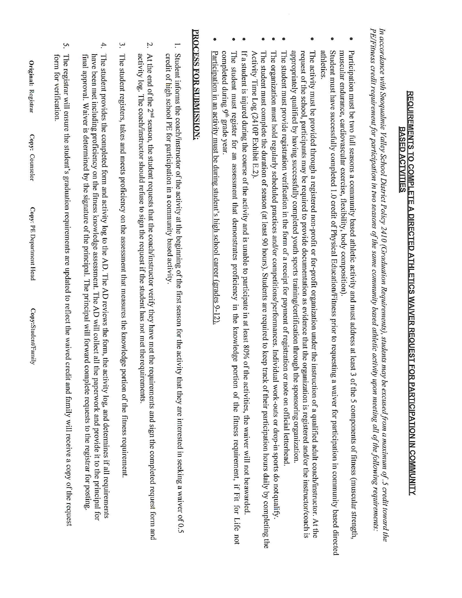## REQUIREMENTS TO COMPLETE A DIRECTED ATHLETICS WAIVER REQUEST FOR PARTICIPATION IN COMMUNITY **BASED ACTVITIES**

PE/Fitness credit requirement for participation in two seasons of the same community based athletic activity upon meeting all of the following requirements: In accordance with Snoqualmie Valley School District Policy 2410 (Graduation Requirements), students may be excused from a maximum of .5 credit toward the

- $\bullet$ muscular endurance, cardiovascular exercise, flexibility, body composition) Participation must be two full seasons a community based athletic activity and must address at least 3 of the 5 components of fitness (muscular strength
- athletics Student must have successfully completed 1.0 credit of Physical Education/Fitness prior to requesting a waiver for participation in community based directed
- $\bullet$ appropriately qualified by having successfully completed youth sports training/certification through the sponsoring organization. request of the school, participants may be required to provide documentation as evidence that the organization is registered and/or the instructor/coach is The activity must be provided through a registered non-profit or for-profit organization under the instruction of a qualified adult coach/instructor. At the
- $\bullet$ The student must provide registration verification in the form of a receipt for payment of registration or note on official letterhead
- The organization must hold regularly scheduled practices and/or competitions/performances. Individual work-outs or drop-in sports do notqualify
- $\bullet$ Activity Time Log (2410P Exhibit E.2). The student must complete the duration of season (at least 90 hours). Students are required to keep track of their participation hours daily by completing the
- If a student is injured during the course of the activity and is unable to participate in at least 80% of the activities, the waiver will not be awarded
- $\bullet$ completed during 9<sup>th</sup> grade year The student must register for an assessment that demonstrates proficiency in the knowledge portion of the fitness requirement, if Fit for Life not
- Participation in an activity must be during student's high school career (grades 9-12).

## PROCESS FOR SUBMISSION:

- Γ. Student informs the coach/instructor of the activity at the beginning of the first season for the activity that they are interested in seeking a waiver of 0.5 credit of high school PE for participation in a community based activity.
- Z. At the end of the 2<sup>nd</sup> season, the student requests that the coach/instructor verify they have met the requirements and sign the completed request form and activity log. The coach/instructor should refuse to sign the request if the student has not met the requirements
- $\mathfrak{a}.$ The student registers, takes and meets proficiency on the assessment that measures the knowledge portion of the fitness requirement
- 4. The student provides the completed form and activity log to the AD. The AD reviews the form, the activity log, and determines if all requirements have been met including proficiency on the fitness knowledge assessment. The AD will collect all the paperwork and provide it to the principal for final approval. Waiver is determined by the signature of the principal. The principal will forward complete requests to the registrar for posting
- ς. The registrar will ensure the student's graduation requirements are updated to reflect the waived credit and family will receive a copy of the request torm for verification.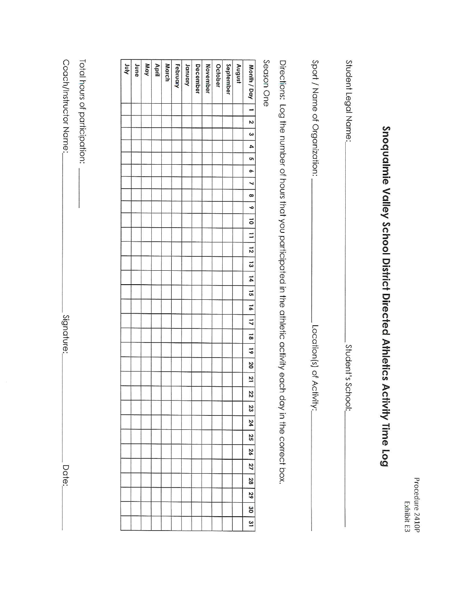| ï |
|---|

## Snoqualmie Valley School District Directed Athletics Activity Time Log

| Student Legal Name:                                                                                              | Student's Scho        |
|------------------------------------------------------------------------------------------------------------------|-----------------------|
| Sport / Name of Organization                                                                                     | Location(s) of Activi |
| Directions: Log the number of hours that you battle differed in the athletic activity each day in the conect box |                       |

|       | ֧֧ׅ֧ׅ֧֧ׅ֧ׅ֧ׅ֧֧ׅ֧ׅ֧֧ׅ֧֧֧֧֛֛֛֧֛֛֛֛֛֛֛֛֛֛֛֛֧֚֚֚֚֚֚֚֚֚֚֚֚֚֚֚֚֚֚֚֚֚֚֚֚֚֚֚֚֚֚֚֚֝֜֓֝֓֜֓֜֓֜֝֓֜֜֝֬֜֝֓֝֬֝֓֝֜֝֜֜֟֜֝֟                                                            |
|-------|----------------------------------------------------------------------------------------------------------------------------------------------------------------------|
|       |                                                                                                                                                                      |
|       |                                                                                                                                                                      |
|       |                                                                                                                                                                      |
|       |                                                                                                                                                                      |
|       | allOURCO<br>).                                                                                                                                                       |
|       |                                                                                                                                                                      |
|       |                                                                                                                                                                      |
|       |                                                                                                                                                                      |
|       |                                                                                                                                                                      |
|       |                                                                                                                                                                      |
|       |                                                                                                                                                                      |
|       |                                                                                                                                                                      |
|       |                                                                                                                                                                      |
|       |                                                                                                                                                                      |
|       |                                                                                                                                                                      |
|       |                                                                                                                                                                      |
|       |                                                                                                                                                                      |
|       |                                                                                                                                                                      |
|       |                                                                                                                                                                      |
|       |                                                                                                                                                                      |
|       |                                                                                                                                                                      |
|       |                                                                                                                                                                      |
|       |                                                                                                                                                                      |
|       |                                                                                                                                                                      |
|       |                                                                                                                                                                      |
|       |                                                                                                                                                                      |
|       |                                                                                                                                                                      |
|       |                                                                                                                                                                      |
|       |                                                                                                                                                                      |
|       |                                                                                                                                                                      |
|       |                                                                                                                                                                      |
| ׇ֚֘֝֝ |                                                                                                                                                                      |
|       |                                                                                                                                                                      |
| į     |                                                                                                                                                                      |
|       |                                                                                                                                                                      |
|       |                                                                                                                                                                      |
|       |                                                                                                                                                                      |
|       |                                                                                                                                                                      |
|       |                                                                                                                                                                      |
|       |                                                                                                                                                                      |
|       |                                                                                                                                                                      |
| į     |                                                                                                                                                                      |
|       |                                                                                                                                                                      |
|       |                                                                                                                                                                      |
|       |                                                                                                                                                                      |
|       |                                                                                                                                                                      |
|       |                                                                                                                                                                      |
|       | $\begin{array}{c} \begin{array}{c} \begin{array}{c} \begin{array}{c} \end{array} \\ \end{array} \\ \begin{array}{c} \end{array} \end{array} \end{array} \end{array}$ |
|       |                                                                                                                                                                      |
|       |                                                                                                                                                                      |
|       |                                                                                                                                                                      |
|       | j                                                                                                                                                                    |
|       |                                                                                                                                                                      |
|       |                                                                                                                                                                      |
|       |                                                                                                                                                                      |
|       |                                                                                                                                                                      |
|       |                                                                                                                                                                      |

| <b>Anr</b> | June | May | April | March | February | January | December | November | October | September | August | Month / Day   1                                                           |
|------------|------|-----|-------|-------|----------|---------|----------|----------|---------|-----------|--------|---------------------------------------------------------------------------|
|            |      |     |       |       |          |         |          |          |         |           |        |                                                                           |
|            |      |     |       |       |          |         |          |          |         |           |        |                                                                           |
|            |      |     |       |       |          |         |          |          |         |           |        | $\overline{z}$                                                            |
|            |      |     |       |       |          |         |          |          |         |           |        | $\omega$                                                                  |
|            |      |     |       |       |          |         |          |          |         |           |        | 4                                                                         |
|            |      |     |       |       |          |         |          |          |         |           |        | c                                                                         |
|            |      |     |       |       |          |         |          |          |         |           |        | $\sim$                                                                    |
|            |      |     |       |       |          |         |          |          |         |           |        | $\overline{a}$                                                            |
|            |      |     |       |       |          |         |          |          |         |           |        |                                                                           |
|            |      |     |       |       |          |         |          |          |         |           |        |                                                                           |
|            |      |     |       |       |          |         |          |          |         |           |        |                                                                           |
|            |      |     |       |       |          |         |          |          |         |           |        |                                                                           |
|            |      |     |       |       |          |         |          |          |         |           |        | $8$ $\frac{1}{2}$ $\frac{1}{2}$ $\frac{1}{2}$ $\frac{1}{2}$ $\frac{1}{2}$ |
|            |      |     |       |       |          |         |          |          |         |           |        | $\frac{13}{2}$                                                            |
|            |      |     |       |       |          |         |          |          |         |           |        | $\overline{4}$                                                            |
|            |      |     |       |       |          |         |          |          |         |           |        |                                                                           |
|            |      |     |       |       |          |         |          |          |         |           |        | 15   16   17                                                              |
|            |      |     |       |       |          |         |          |          |         |           |        |                                                                           |
|            |      |     |       |       |          |         |          |          |         |           |        | 81                                                                        |
|            |      |     |       |       |          |         |          |          |         |           |        | $\overline{61}$                                                           |
|            |      |     |       |       |          |         |          |          |         |           |        | $\overline{50}$                                                           |
|            |      |     |       |       |          |         |          |          |         |           |        | $\frac{1}{2}$                                                             |
|            |      |     |       |       |          |         |          |          |         |           |        | 32                                                                        |
|            |      |     |       |       |          |         |          |          |         |           |        | 23                                                                        |
|            |      |     |       |       |          |         |          |          |         |           |        | 24                                                                        |
|            |      |     |       |       |          |         |          |          |         |           |        | 52                                                                        |
|            |      |     |       |       |          |         |          |          |         |           |        | 26                                                                        |
|            |      |     |       |       |          |         |          |          |         |           |        | 27                                                                        |
|            |      |     |       |       |          |         |          |          |         |           |        | 28                                                                        |
|            |      |     |       |       |          |         |          |          |         |           |        | 52                                                                        |
|            |      |     |       |       |          |         |          |          |         |           |        | 30                                                                        |
|            |      |     |       |       |          |         |          |          |         |           |        | $\overline{\mathbf{3}}$                                                   |

| $\ddot{\phantom{0}}$ |   |
|----------------------|---|
| Ĩ                    |   |
|                      |   |
| our o                |   |
| J                    | ۰ |
|                      |   |
| ļ                    |   |
|                      |   |
|                      |   |
|                      | ì |
|                      |   |
|                      |   |

Coach/Instructor Name:

Signature:

Date: